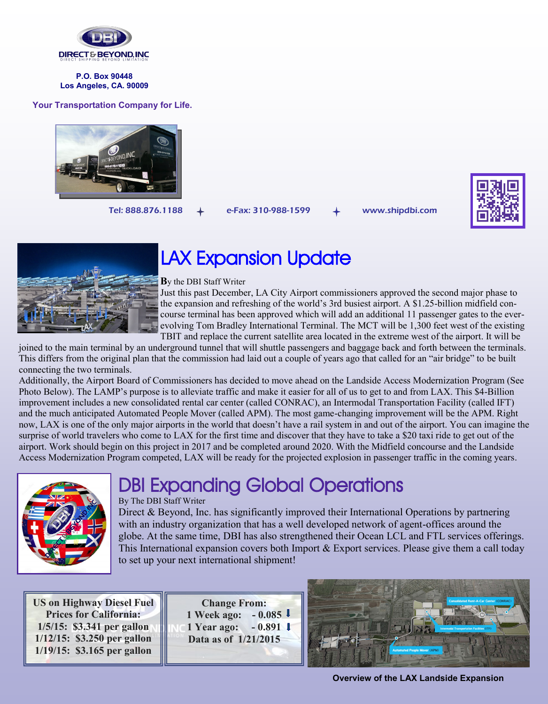

**P.O. Box 90448 Los Angeles, CA. 90009**

### **Your Transportation Company for Life.**



Tel: 888.876.1188  $+$  e-Fax: 310-988-1599  $+$  www.shipdbi.com





# LAX Expansion Update

#### **B**y the DBI Staff Writer

Just this past December, LA City Airport commissioners approved the second major phase to the expansion and refreshing of the world's 3rd busiest airport. A \$1.25-billion midfield concourse terminal has been approved which will add an additional 11 passenger gates to the everevolving Tom Bradley International Terminal. The MCT will be 1,300 feet west of the existing TBIT and replace the current satellite area located in the extreme west of the airport. It will be

joined to the main terminal by an underground tunnel that will shuttle passengers and baggage back and forth between the terminals. This differs from the original plan that the commission had laid out a couple of years ago that called for an "air bridge" to be built connecting the two terminals.

Additionally, the Airport Board of Commissioners has decided to move ahead on the Landside Access Modernization Program (See Photo Below). The LAMP's purpose is to alleviate traffic and make it easier for all of us to get to and from LAX. This \$4-Billion improvement includes a new consolidated rental car center (called CONRAC), an Intermodal Transportation Facility (called IFT) and the much anticipated Automated People Mover (called APM). The most game-changing improvement will be the APM. Right now, LAX is one of the only major airports in the world that doesn't have a rail system in and out of the airport. You can imagine the surprise of world travelers who come to LAX for the first time and discover that they have to take a \$20 taxi ride to get out of the airport. Work should begin on this project in 2017 and be completed around 2020. With the Midfield concourse and the Landside Access Modernization Program competed, LAX will be ready for the projected explosion in passenger traffic in the coming years.



# DBI Expanding Global Operations

## By The DBI Staff Writer

Direct & Beyond, Inc. has significantly improved their International Operations by partnering with an industry organization that has a well developed network of agent-offices around the globe. At the same time, DBI has also strengthened their Ocean LCL and FTL services offerings. This International expansion covers both Import & Export services. Please give them a call today to set up your next international shipment!

**US on Highway Diesel Fuel Prices for California: 1/5/15: \$3.341 per gallon 1/12/15: \$3.250 per gallon 1/19/15: \$3.165 per gallon**

**Change From: 1 Week ago: - 0.085 1 Year ago: - 0.891 Data as of 1/21/2015** 



**Overview of the LAX Landside Expansion**